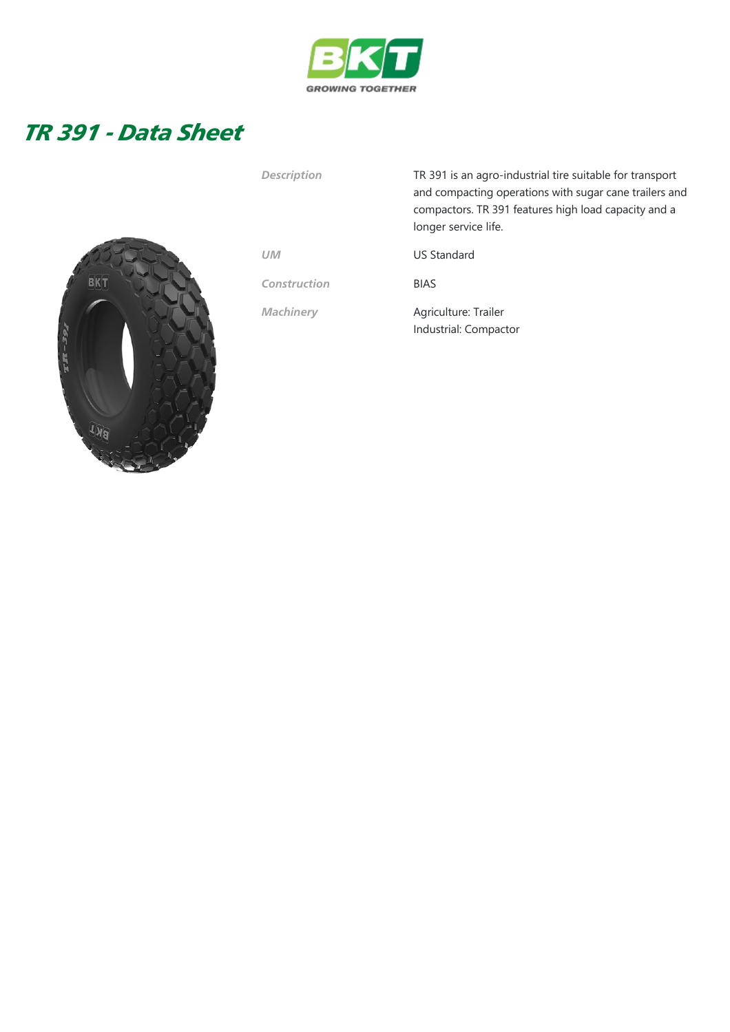

## TR 391 - Data Sheet



| <b>Description</b> | TR 391 is an agro-industrial tire suitable for transport<br>and compacting operations with sugar cane trailers and<br>compactors. TR 391 features high load capacity and a<br>longer service life. |  |  |  |  |  |
|--------------------|----------------------------------------------------------------------------------------------------------------------------------------------------------------------------------------------------|--|--|--|--|--|
| <b>UM</b>          | <b>US Standard</b>                                                                                                                                                                                 |  |  |  |  |  |
| Construction       | <b>BIAS</b>                                                                                                                                                                                        |  |  |  |  |  |
| <b>Machinery</b>   | Agriculture: Trailer<br>Industrial: Compactor                                                                                                                                                      |  |  |  |  |  |